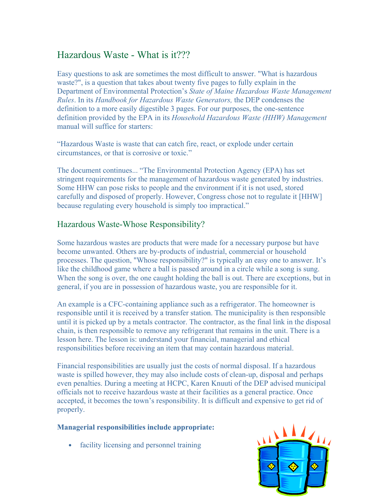# Hazardous Waste - What is it???

Easy questions to ask are sometimes the most difficult to answer. "What is hazardous waste?", is a question that takes about twenty five pages to fully explain in the Department of Environmental Protection's State of Maine Hazardous Waste Management Rules. In its Handbook for Hazardous Waste Generators, the DEP condenses the definition to a more easily digestible 3 pages. For our purposes, the one-sentence definition provided by the EPA in its Household Hazardous Waste (HHW) Management manual will suffice for starters:

"Hazardous Waste is waste that can catch fire, react, or explode under certain circumstances, or that is corrosive or toxic."

The document continues... "The Environmental Protection Agency (EPA) has set stringent requirements for the management of hazardous waste generated by industries. Some HHW can pose risks to people and the environment if it is not used, stored carefully and disposed of properly. However, Congress chose not to regulate it [HHW] because regulating every household is simply too impractical."

# Hazardous Waste-Whose Responsibility?

Some hazardous wastes are products that were made for a necessary purpose but have become unwanted. Others are by-products of industrial, commercial or household processes. The question, "Whose responsibility?" is typically an easy one to answer. It's like the childhood game where a ball is passed around in a circle while a song is sung. When the song is over, the one caught holding the ball is out. There are exceptions, but in general, if you are in possession of hazardous waste, you are responsible for it.

An example is a CFC-containing appliance such as a refrigerator. The homeowner is responsible until it is received by a transfer station. The municipality is then responsible until it is picked up by a metals contractor. The contractor, as the final link in the disposal chain, is then responsible to remove any refrigerant that remains in the unit. There is a lesson here. The lesson is: understand your financial, managerial and ethical responsibilities before receiving an item that may contain hazardous material.

Financial responsibilities are usually just the costs of normal disposal. If a hazardous waste is spilled however, they may also include costs of clean-up, disposal and perhaps even penalties. During a meeting at HCPC, Karen Knuuti of the DEP advised municipal officials not to receive hazardous waste at their facilities as a general practice. Once accepted, it becomes the town's responsibility. It is difficult and expensive to get rid of properly.

## Managerial responsibilities include appropriate:

• facility licensing and personnel training

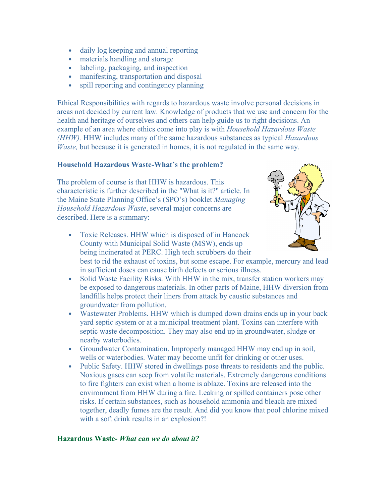- daily log keeping and annual reporting
- materials handling and storage
- labeling, packaging, and inspection
- manifesting, transportation and disposal
- spill reporting and contingency planning

Ethical Responsibilities with regards to hazardous waste involve personal decisions in areas not decided by current law. Knowledge of products that we use and concern for the health and heritage of ourselves and others can help guide us to right decisions. An example of an area where ethics come into play is with Household Hazardous Waste (HHW). HHW includes many of the same hazardous substances as typical *Hazardous* Waste, but because it is generated in homes, it is not regulated in the same way.

### Household Hazardous Waste-What's the problem?

The problem of course is that HHW is hazardous. This characteristic is further described in the "What is it?" article. In the Maine State Planning Office's (SPO's) booklet Managing Household Hazardous Waste, several major concerns are described. Here is a summary:



- Toxic Releases. HHW which is disposed of in Hancock County with Municipal Solid Waste (MSW), ends up being incinerated at PERC. High tech scrubbers do their best to rid the exhaust of toxins, but some escape. For example, mercury and lead in sufficient doses can cause birth defects or serious illness.
- Solid Waste Facility Risks. With HHW in the mix, transfer station workers may be exposed to dangerous materials. In other parts of Maine, HHW diversion from landfills helps protect their liners from attack by caustic substances and groundwater from pollution.
- Wastewater Problems. HHW which is dumped down drains ends up in your back yard septic system or at a municipal treatment plant. Toxins can interfere with septic waste decomposition. They may also end up in groundwater, sludge or nearby waterbodies.
- Groundwater Contamination. Improperly managed HHW may end up in soil, wells or waterbodies. Water may become unfit for drinking or other uses.
- Public Safety. HHW stored in dwellings pose threats to residents and the public. Noxious gases can seep from volatile materials. Extremely dangerous conditions to fire fighters can exist when a home is ablaze. Toxins are released into the environment from HHW during a fire. Leaking or spilled containers pose other risks. If certain substances, such as household ammonia and bleach are mixed together, deadly fumes are the result. And did you know that pool chlorine mixed with a soft drink results in an explosion?!

### Hazardous Waste- What can we do about it?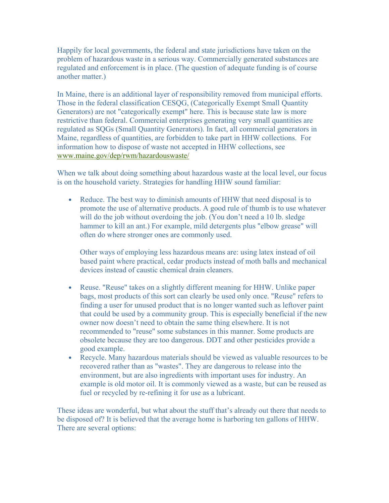Happily for local governments, the federal and state jurisdictions have taken on the problem of hazardous waste in a serious way. Commercially generated substances are regulated and enforcement is in place. (The question of adequate funding is of course another matter.)

In Maine, there is an additional layer of responsibility removed from municipal efforts. Those in the federal classification CESQG, (Categorically Exempt Small Quantity Generators) are not "categorically exempt" here. This is because state law is more restrictive than federal. Commercial enterprises generating very small quantities are regulated as SQGs (Small Quantity Generators). In fact, all commercial generators in Maine, regardless of quantities, are forbidden to take part in HHW collections. For information how to dispose of waste not accepted in HHW collections, see www.maine.gov/dep/rwm/hazardouswaste/

When we talk about doing something about hazardous waste at the local level, our focus is on the household variety. Strategies for handling HHW sound familiar:

• Reduce. The best way to diminish amounts of HHW that need disposal is to promote the use of alternative products. A good rule of thumb is to use whatever will do the job without overdoing the job. (You don't need a 10 lb. sledge hammer to kill an ant.) For example, mild detergents plus "elbow grease" will often do where stronger ones are commonly used.

Other ways of employing less hazardous means are: using latex instead of oil based paint where practical, cedar products instead of moth balls and mechanical devices instead of caustic chemical drain cleaners.

- Reuse. "Reuse" takes on a slightly different meaning for HHW. Unlike paper bags, most products of this sort can clearly be used only once. "Reuse" refers to finding a user for unused product that is no longer wanted such as leftover paint that could be used by a community group. This is especially beneficial if the new owner now doesn't need to obtain the same thing elsewhere. It is not recommended to "reuse" some substances in this manner. Some products are obsolete because they are too dangerous. DDT and other pesticides provide a good example.
- Recycle. Many hazardous materials should be viewed as valuable resources to be recovered rather than as "wastes". They are dangerous to release into the environment, but are also ingredients with important uses for industry. An example is old motor oil. It is commonly viewed as a waste, but can be reused as fuel or recycled by re-refining it for use as a lubricant.

These ideas are wonderful, but what about the stuff that's already out there that needs to be disposed of? It is believed that the average home is harboring ten gallons of HHW. There are several options: